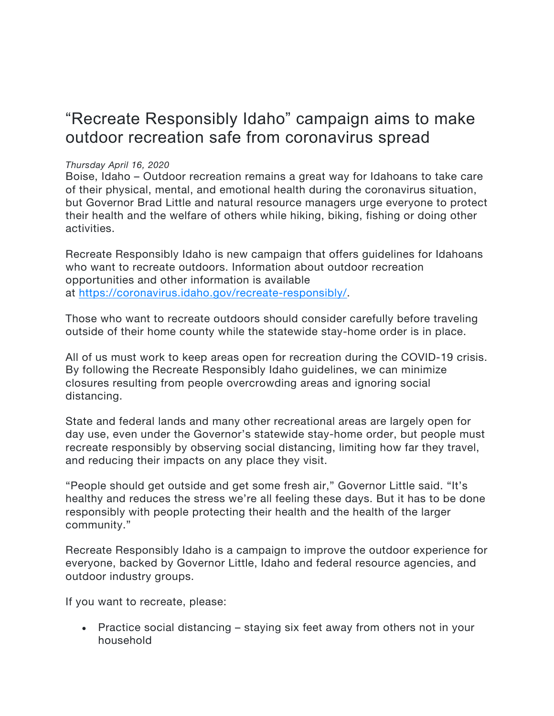## "Recreate Responsibly Idaho" campaign aims to make outdoor recreation safe from coronavirus spread

## *Thursday April 16, 2020*

Boise, Idaho – Outdoor recreation remains a great way for Idahoans to take care of their physical, mental, and emotional health during the coronavirus situation, but Governor Brad Little and natural resource managers urge everyone to protect their health and the welfare of others while hiking, biking, fishing or doing other activities.

Recreate Responsibly Idaho is new campaign that offers guidelines for Idahoans who want to recreate outdoors. Information about outdoor recreation opportunities and other information is available at https://coronavirus.idaho.gov/recreate-responsibly/.

Those who want to recreate outdoors should consider carefully before traveling outside of their home county while the statewide stay-home order is in place.

All of us must work to keep areas open for recreation during the COVID-19 crisis. By following the Recreate Responsibly Idaho guidelines, we can minimize closures resulting from people overcrowding areas and ignoring social distancing.

State and federal lands and many other recreational areas are largely open for day use, even under the Governor's statewide stay-home order, but people must recreate responsibly by observing social distancing, limiting how far they travel, and reducing their impacts on any place they visit.

"People should get outside and get some fresh air," Governor Little said. "It's healthy and reduces the stress we're all feeling these days. But it has to be done responsibly with people protecting their health and the health of the larger community."

Recreate Responsibly Idaho is a campaign to improve the outdoor experience for everyone, backed by Governor Little, Idaho and federal resource agencies, and outdoor industry groups.

If you want to recreate, please:

• Practice social distancing – staying six feet away from others not in your household